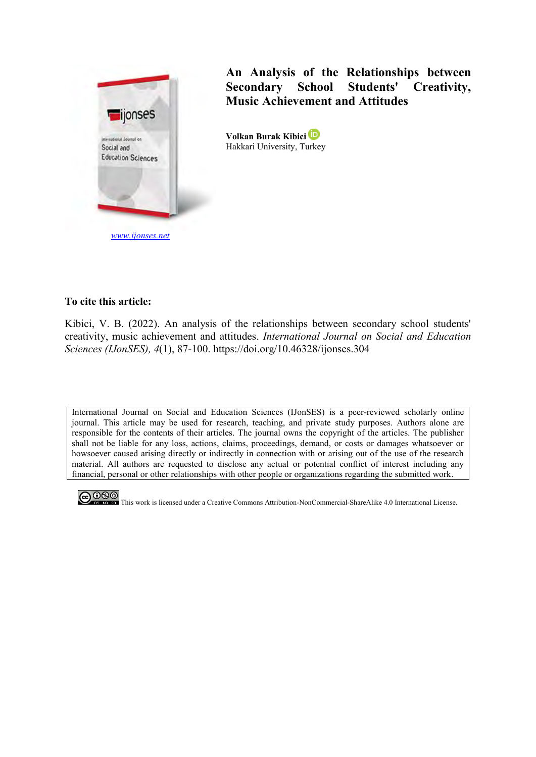

## **An Analysis of the Relationships between Secondary School Students' Creativity, Music Achievement and Attitudes**

**Volkan Burak Kibici** Hakkari University, Turkey

## **To cite this article:**

Kibici, V. B. (2022). An analysis of the relationships between secondary school students' creativity, music achievement and attitudes. *International Journal on Social and Education Sciences (IJonSES), 4*(1), 87-100. https://doi.org/10.46328/ijonses.304

International Journal on Social and Education Sciences (IJonSES) is a peer-reviewed scholarly online journal. This article may be used for research, teaching, and private study purposes. Authors alone are responsible for the contents of their articles. The journal owns the copyright of the articles. The publisher shall not be liable for any loss, actions, claims, proceedings, demand, or costs or damages whatsoever or howsoever caused arising directly or indirectly in connection with or arising out of the use of the research material. All authors are requested to disclose any actual or potential conflict of interest including any financial, personal or other relationships with other people or organizations regarding the submitted work.



CO OSO This work is licensed under a Creative Commons Attribution-NonCommercial-ShareAlike 4.0 International License.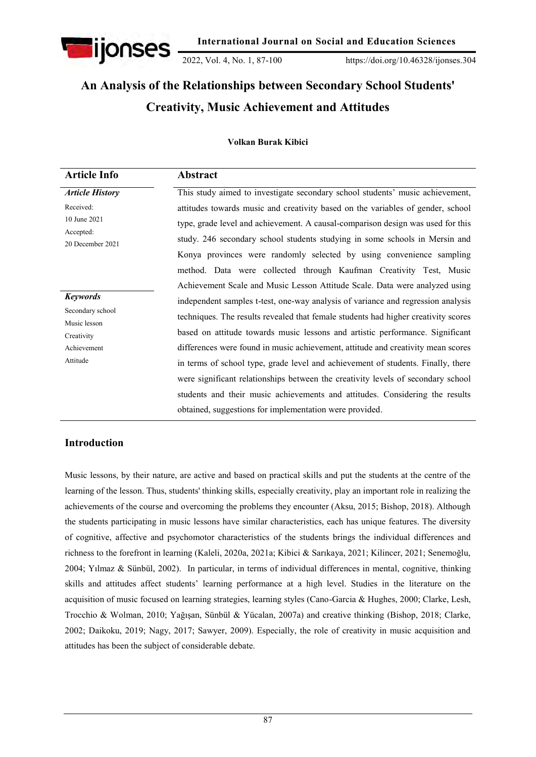

2022, Vol. 4, No. 1, 87-100 https://doi.org/10.46328/ijonses.304

# **An Analysis of the Relationships between Secondary School Students' Creativity, Music Achievement and Attitudes**

#### **Volkan Burak Kibici**

| <b>Article Info</b>        | Abstract                                                                           |
|----------------------------|------------------------------------------------------------------------------------|
| <b>Article History</b>     | This study aimed to investigate secondary school students' music achievement,      |
| Received:                  | attitudes towards music and creativity based on the variables of gender, school    |
| 10 June 2021               | type, grade level and achievement. A causal-comparison design was used for this    |
| Accepted:                  | study. 246 secondary school students studying in some schools in Mersin and        |
| 20 December 2021           | Konya provinces were randomly selected by using convenience sampling               |
|                            | method. Data were collected through Kaufman Creativity Test, Music                 |
|                            | Achievement Scale and Music Lesson Attitude Scale. Data were analyzed using        |
| <b>Keywords</b>            | independent samples t-test, one-way analysis of variance and regression analysis   |
| Secondary school           | techniques. The results revealed that female students had higher creativity scores |
| Music lesson<br>Creativity | based on attitude towards music lessons and artistic performance. Significant      |
| Achievement                | differences were found in music achievement, attitude and creativity mean scores   |
| Attitude                   | in terms of school type, grade level and achievement of students. Finally, there   |
|                            | were significant relationships between the creativity levels of secondary school   |
|                            | students and their music achievements and attitudes. Considering the results       |
|                            | obtained, suggestions for implementation were provided.                            |

## **Introduction**

Music lessons, by their nature, are active and based on practical skills and put the students at the centre of the learning of the lesson. Thus, students' thinking skills, especially creativity, play an important role in realizing the achievements of the course and overcoming the problems they encounter (Aksu, 2015; Bishop, 2018). Although the students participating in music lessons have similar characteristics, each has unique features. The diversity of cognitive, affective and psychomotor characteristics of the students brings the individual differences and richness to the forefront in learning (Kaleli, 2020a, 2021a; Kibici & Sarıkaya, 2021; Kilincer, 2021; Senemoğlu, 2004; Yılmaz & Sünbül, 2002). In particular, in terms of individual differences in mental, cognitive, thinking skills and attitudes affect students' learning performance at a high level. Studies in the literature on the acquisition of music focused on learning strategies, learning styles (Cano-Garcia & Hughes, 2000; Clarke, Lesh, Trocchio & Wolman, 2010; Yağışan, Sünbül & Yücalan, 2007a) and creative thinking (Bishop, 2018; Clarke, 2002; Daikoku, 2019; Nagy, 2017; Sawyer, 2009). Especially, the role of creativity in music acquisition and attitudes has been the subject of considerable debate.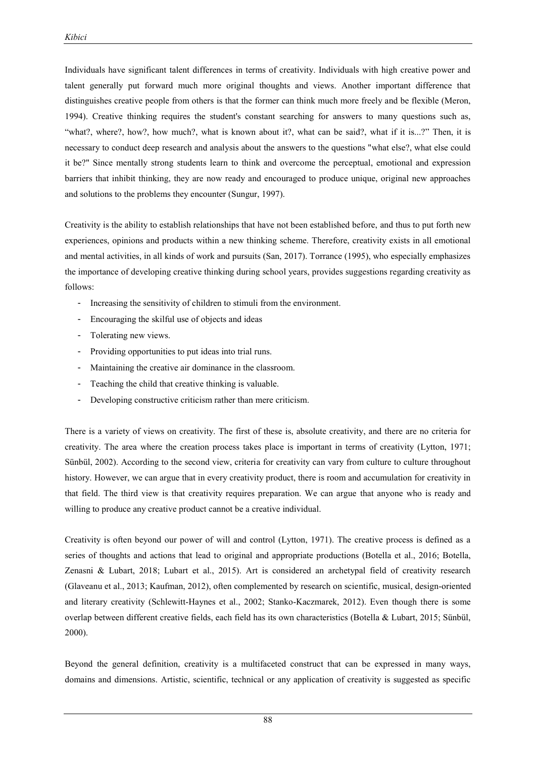Individuals have significant talent differences in terms of creativity. Individuals with high creative power and talent generally put forward much more original thoughts and views. Another important difference that distinguishes creative people from others is that the former can think much more freely and be flexible (Meron, 1994). Creative thinking requires the student's constant searching for answers to many questions such as, "what?, where?, how?, how much?, what is known about it?, what can be said?, what if it is...?" Then, it is necessary to conduct deep research and analysis about the answers to the questions "what else?, what else could it be?" Since mentally strong students learn to think and overcome the perceptual, emotional and expression barriers that inhibit thinking, they are now ready and encouraged to produce unique, original new approaches and solutions to the problems they encounter (Sungur, 1997).

Creativity is the ability to establish relationships that have not been established before, and thus to put forth new experiences, opinions and products within a new thinking scheme. Therefore, creativity exists in all emotional and mental activities, in all kinds of work and pursuits (San, 2017). Torrance (1995), who especially emphasizes the importance of developing creative thinking during school years, provides suggestions regarding creativity as follows:

- Increasing the sensitivity of children to stimuli from the environment.
- Encouraging the skilful use of objects and ideas
- Tolerating new views.
- Providing opportunities to put ideas into trial runs.
- Maintaining the creative air dominance in the classroom.
- Teaching the child that creative thinking is valuable.
- Developing constructive criticism rather than mere criticism.

There is a variety of views on creativity. The first of these is, absolute creativity, and there are no criteria for creativity. The area where the creation process takes place is important in terms of creativity (Lytton, 1971; Sünbül, 2002). According to the second view, criteria for creativity can vary from culture to culture throughout history. However, we can argue that in every creativity product, there is room and accumulation for creativity in that field. The third view is that creativity requires preparation. We can argue that anyone who is ready and willing to produce any creative product cannot be a creative individual.

Creativity is often beyond our power of will and control (Lytton, 1971). The creative process is defined as a series of thoughts and actions that lead to original and appropriate productions (Botella et al., 2016; Botella, Zenasni & Lubart, 2018; Lubart et al., 2015). Art is considered an archetypal field of creativity research (Glaveanu et al., 2013; Kaufman, 2012), often complemented by research on scientific, musical, design-oriented and literary creativity (Schlewitt-Haynes et al., 2002; Stanko-Kaczmarek, 2012). Even though there is some overlap between different creative fields, each field has its own characteristics (Botella & Lubart, 2015; Sünbül, 2000).

Beyond the general definition, creativity is a multifaceted construct that can be expressed in many ways, domains and dimensions. Artistic, scientific, technical or any application of creativity is suggested as specific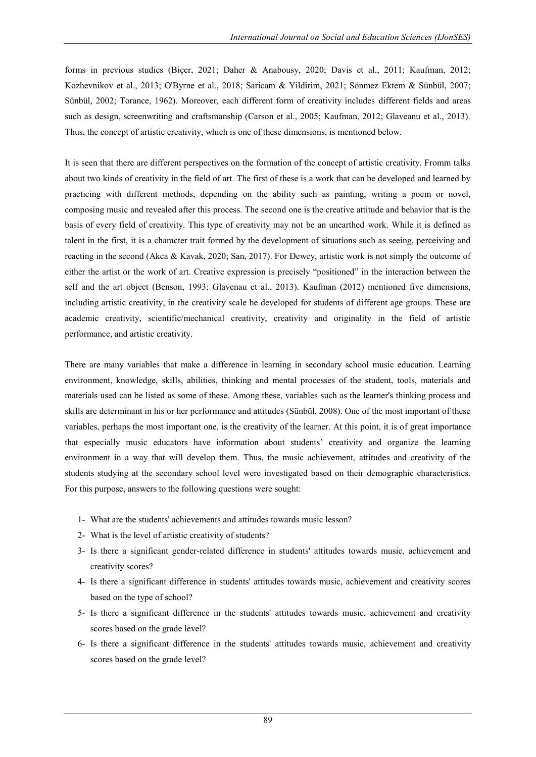forms in previous studies (Biçer, 2021; Daher & Anabousy, 2020; Davis et al., 2011; Kaufman, 2012; Kozhevnikov et al., 2013; O'Byrne et al., 2018; Saricam & Yildirim, 2021; Sönmez Ektem & Sünbül, 2007; Sünbül, 2002; Torance, 1962). Moreover, each different form of creativity includes different fields and areas such as design, screenwriting and craftsmanship (Carson et al., 2005; Kaufman, 2012; Glaveanu et al., 2013). Thus, the concept of artistic creativity, which is one of these dimensions, is mentioned below.

It is seen that there are different perspectives on the formation of the concept of artistic creativity. Fromm talks about two kinds of creativity in the field of art. The first of these is a work that can be developed and learned by practicing with different methods, depending on the ability such as painting, writing a poem or novel, composing music and revealed after this process. The second one is the creative attitude and behavior that is the basis of every field of creativity. This type of creativity may not be an unearthed work. While it is defined as talent in the first, it is a character trait formed by the development of situations such as seeing, perceiving and reacting in the second (Akca & Kavak, 2020; San, 2017). For Dewey, artistic work is not simply the outcome of either the artist or the work of art. Creative expression is precisely "positioned" in the interaction between the self and the art object (Benson, 1993; Glavenau et al., 2013). Kaufman (2012) mentioned five dimensions, including artistic creativity, in the creativity scale he developed for students of different age groups. These are academic creativity, scientific/mechanical creativity, creativity and originality in the field of artistic performance, and artistic creativity.

There are many variables that make a difference in learning in secondary school music education. Learning environment, knowledge, skills, abilities, thinking and mental processes of the student, tools, materials and materials used can be listed as some of these. Among these, variables such as the learner's thinking process and skills are determinant in his or her performance and attitudes (Sünbül, 2008). One of the most important of these variables, perhaps the most important one, is the creativity of the learner. At this point, it is of great importance that especially music educators have information about students' creativity and organize the learning environment in a way that will develop them. Thus, the music achievement, attitudes and creativity of the students studying at the secondary school level were investigated based on their demographic characteristics. For this purpose, answers to the following questions were sought:

- 1- What are the students' achievements and attitudes towards music lesson?
- 2- What is the level of artistic creativity of students?
- 3- Is there a significant gender-related difference in students' attitudes towards music, achievement and creativity scores?
- 4- Is there a significant difference in students' attitudes towards music, achievement and creativity scores based on the type of school?
- 5- Is there a significant difference in the students' attitudes towards music, achievement and creativity scores based on the grade level?
- 6- Is there a significant difference in the students' attitudes towards music, achievement and creativity scores based on the grade level?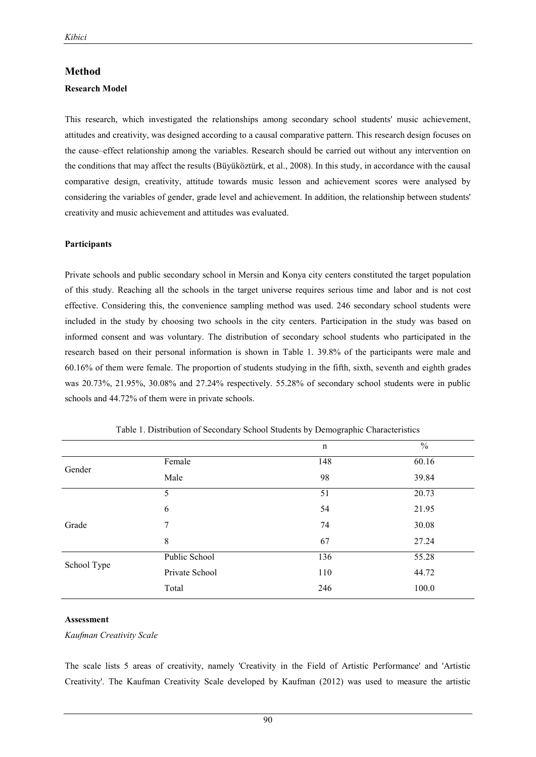#### **Method**

#### **Research Model**

This research, which investigated the relationships among secondary school students' music achievement, attitudes and creativity, was designed according to a causal comparative pattern. This research design focuses on the cause–effect relationship among the variables. Research should be carried out without any intervention on the conditions that may affect the results (Büyüköztürk, et al., 2008). In this study, in accordance with the causal comparative design, creativity, attitude towards music lesson and achievement scores were analysed by considering the variables of gender, grade level and achievement. In addition, the relationship between students' creativity and music achievement and attitudes was evaluated.

#### **Participants**

Private schools and public secondary school in Mersin and Konya city centers constituted the target population of this study. Reaching all the schools in the target universe requires serious time and labor and is not cost effective. Considering this, the convenience sampling method was used. 246 secondary school students were included in the study by choosing two schools in the city centers. Participation in the study was based on informed consent and was voluntary. The distribution of secondary school students who participated in the research based on their personal information is shown in Table 1. 39.8% of the participants were male and 60.16% of them were female. The proportion of students studying in the fifth, sixth, seventh and eighth grades was 20.73%, 21.95%, 30.08% and 27.24% respectively. 55.28% of secondary school students were in public schools and 44.72% of them were in private schools.

|             |                | n   | $\frac{0}{0}$ |
|-------------|----------------|-----|---------------|
| Gender      | Female         | 148 | 60.16         |
|             | Male           | 98  | 39.84         |
|             | 5              | 51  | 20.73         |
|             | 6              | 54  | 21.95         |
| Grade       | 7              | 74  | 30.08         |
|             | 8              | 67  | 27.24         |
| School Type | Public School  | 136 | 55.28         |
|             | Private School | 110 | 44.72         |
|             | Total          | 246 | 100.0         |

Table 1. Distribution of Secondary School Students by Demographic Characteristics

#### **Assessment**

*Kaufman Creativity Scale* 

The scale lists 5 areas of creativity, namely 'Creativity in the Field of Artistic Performance' and 'Artistic Creativity'. The Kaufman Creativity Scale developed by Kaufman (2012) was used to measure the artistic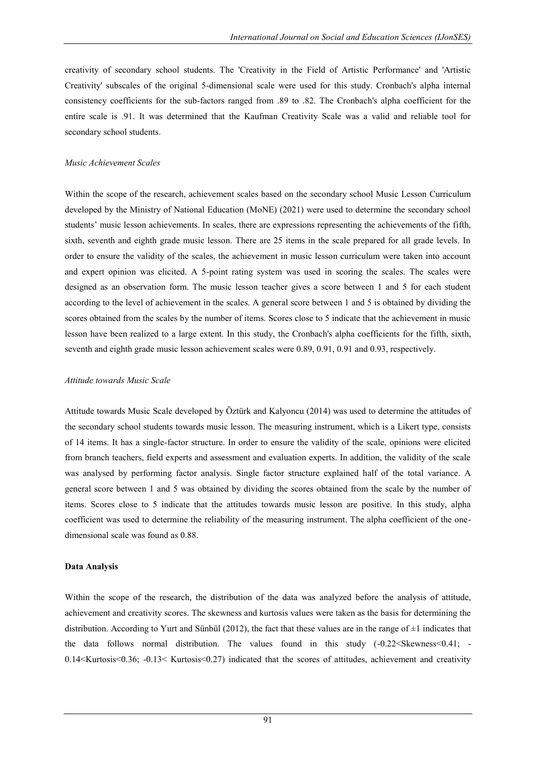creativity of secondary school students. The 'Creativity in the Field of Artistic Performance' and 'Artistic Creativity' subscales of the original 5-dimensional scale were used for this study. Cronbach's alpha internal consistency coefficients for the sub-factors ranged from .89 to .82. The Cronbach's alpha coefficient for the entire scale is .91. It was determined that the Kaufman Creativity Scale was a valid and reliable tool for secondary school students.

#### *Music Achievement Scales*

Within the scope of the research, achievement scales based on the secondary school Music Lesson Curriculum developed by the Ministry of National Education (MoNE) (2021) were used to determine the secondary school students' music lesson achievements. In scales, there are expressions representing the achievements of the fifth, sixth, seventh and eighth grade music lesson. There are 25 items in the scale prepared for all grade levels. In order to ensure the validity of the scales, the achievement in music lesson curriculum were taken into account and expert opinion was elicited. A 5-point rating system was used in scoring the scales. The scales were designed as an observation form. The music lesson teacher gives a score between 1 and 5 for each student according to the level of achievement in the scales. A general score between 1 and 5 is obtained by dividing the scores obtained from the scales by the number of items. Scores close to 5 indicate that the achievement in music lesson have been realized to a large extent. In this study, the Cronbach's alpha coefficients for the fifth, sixth, seventh and eighth grade music lesson achievement scales were 0.89, 0.91, 0.91 and 0.93, respectively.

#### *Attitude towards Music Scale*

Attitude towards Music Scale developed by Öztürk and Kalyoncu (2014) was used to determine the attitudes of the secondary school students towards music lesson. The measuring instrument, which is a Likert type, consists of 14 items. It has a single-factor structure. In order to ensure the validity of the scale, opinions were elicited from branch teachers, field experts and assessment and evaluation experts. In addition, the validity of the scale was analysed by performing factor analysis. Single factor structure explained half of the total variance. A general score between 1 and 5 was obtained by dividing the scores obtained from the scale by the number of items. Scores close to 5 indicate that the attitudes towards music lesson are positive. In this study, alpha coefficient was used to determine the reliability of the measuring instrument. The alpha coefficient of the onedimensional scale was found as 0.88.

#### **Data Analysis**

Within the scope of the research, the distribution of the data was analyzed before the analysis of attitude, achievement and creativity scores. The skewness and kurtosis values were taken as the basis for determining the distribution. According to Yurt and Sünbül (2012), the fact that these values are in the range of  $\pm 1$  indicates that the data follows normal distribution. The values found in this study  $(-0.22 \leq Skewness \leq 0.41; -1.5 \leq Skewness \leq 0.41)$ 0.14<Kurtosis<0.36; -0.13< Kurtosis<0.27) indicated that the scores of attitudes, achievement and creativity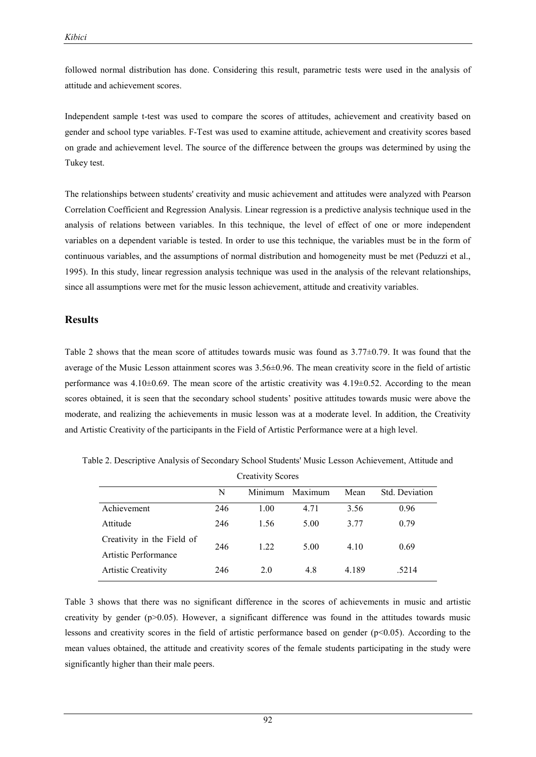followed normal distribution has done. Considering this result, parametric tests were used in the analysis of attitude and achievement scores.

Independent sample t-test was used to compare the scores of attitudes, achievement and creativity based on gender and school type variables. F-Test was used to examine attitude, achievement and creativity scores based on grade and achievement level. The source of the difference between the groups was determined by using the Tukey test.

The relationships between students' creativity and music achievement and attitudes were analyzed with Pearson Correlation Coefficient and Regression Analysis. Linear regression is a predictive analysis technique used in the analysis of relations between variables. In this technique, the level of effect of one or more independent variables on a dependent variable is tested. In order to use this technique, the variables must be in the form of continuous variables, and the assumptions of normal distribution and homogeneity must be met (Peduzzi et al., 1995). In this study, linear regression analysis technique was used in the analysis of the relevant relationships, since all assumptions were met for the music lesson achievement, attitude and creativity variables.

## **Results**

Table 2 shows that the mean score of attitudes towards music was found as  $3.77\pm0.79$ . It was found that the average of the Music Lesson attainment scores was 3.56±0.96. The mean creativity score in the field of artistic performance was  $4.10\pm0.69$ . The mean score of the artistic creativity was  $4.19\pm0.52$ . According to the mean scores obtained, it is seen that the secondary school students' positive attitudes towards music were above the moderate, and realizing the achievements in music lesson was at a moderate level. In addition, the Creativity and Artistic Creativity of the participants in the Field of Artistic Performance were at a high level.

| <b>Creativity Scores</b>   |     |         |         |       |                |  |  |
|----------------------------|-----|---------|---------|-------|----------------|--|--|
|                            | N   | Minimum | Maximum | Mean  | Std. Deviation |  |  |
| Achievement                | 246 | 1.00    | 4.71    | 3.56  | 0.96           |  |  |
| Attitude                   | 246 | 1.56    | 5.00    | 3.77  | 0.79           |  |  |
| Creativity in the Field of | 246 | 1.22    | 5.00    | 4.10  | 0.69           |  |  |
| Artistic Performance       |     |         |         |       |                |  |  |
| <b>Artistic Creativity</b> | 246 | 2.0     | 4.8     | 4.189 | .5214          |  |  |

Table 2. Descriptive Analysis of Secondary School Students' Music Lesson Achievement, Attitude and

Table 3 shows that there was no significant difference in the scores of achievements in music and artistic creativity by gender (p>0.05). However, a significant difference was found in the attitudes towards music lessons and creativity scores in the field of artistic performance based on gender (p<0.05). According to the mean values obtained, the attitude and creativity scores of the female students participating in the study were significantly higher than their male peers.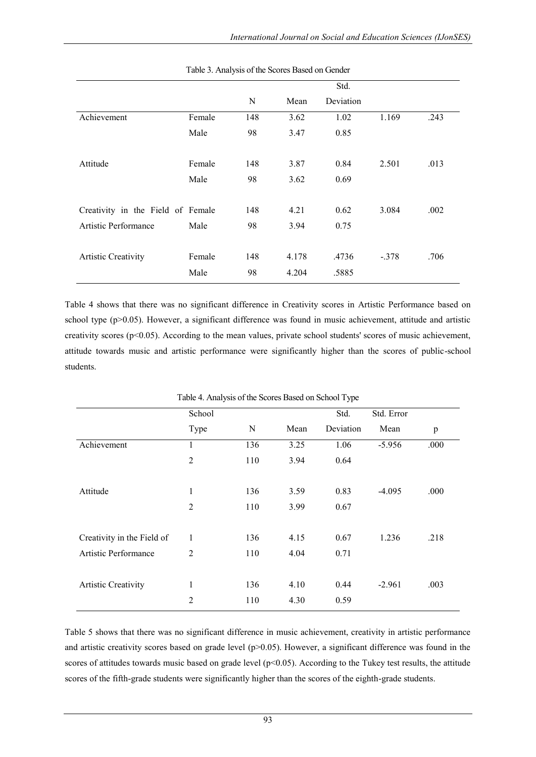|                                   |     |       | Std.  |           |      |
|-----------------------------------|-----|-------|-------|-----------|------|
|                                   | N   | Mean  |       |           |      |
| Female                            | 148 | 3.62  | 1.02  | 1.169     | .243 |
| Male                              | 98  | 3.47  | 0.85  |           |      |
|                                   |     |       |       |           |      |
| Female                            | 148 | 3.87  | 0.84  | 2.501     | .013 |
| Male                              | 98  | 3.62  | 0.69  |           |      |
|                                   |     |       |       |           |      |
| Creativity in the Field of Female | 148 | 4.21  | 0.62  | 3.084     | .002 |
| Male                              | 98  | 3.94  | 0.75  |           |      |
|                                   |     |       |       |           |      |
| Female                            | 148 | 4.178 | .4736 | $-.378$   | .706 |
| Male                              | 98  | 4.204 | .5885 |           |      |
|                                   |     |       |       | Deviation |      |

Table 3. Analysis of the Scores Based on Gender

Table 4 shows that there was no significant difference in Creativity scores in Artistic Performance based on school type (p>0.05). However, a significant difference was found in music achievement, attitude and artistic creativity scores ( $p<0.05$ ). According to the mean values, private school students' scores of music achievement, attitude towards music and artistic performance were significantly higher than the scores of public-school students.

|                            | Table 4. Allalysis of the Scores Based on School Type |     |      |           |            |      |  |  |
|----------------------------|-------------------------------------------------------|-----|------|-----------|------------|------|--|--|
|                            | School                                                |     |      | Std.      | Std. Error |      |  |  |
|                            | Type                                                  | N   | Mean | Deviation | Mean       | p    |  |  |
| Achievement                | 1                                                     | 136 | 3.25 | 1.06      | $-5.956$   | .000 |  |  |
|                            | $\overline{c}$                                        | 110 | 3.94 | 0.64      |            |      |  |  |
|                            |                                                       |     |      |           |            |      |  |  |
| Attitude                   | $\mathbf{1}$                                          | 136 | 3.59 | 0.83      | $-4.095$   | .000 |  |  |
|                            | $\overline{2}$                                        | 110 | 3.99 | 0.67      |            |      |  |  |
|                            |                                                       |     |      |           |            |      |  |  |
| Creativity in the Field of | 1                                                     | 136 | 4.15 | 0.67      | 1.236      | .218 |  |  |
| Artistic Performance       | $\overline{2}$                                        | 110 | 4.04 | 0.71      |            |      |  |  |
|                            |                                                       |     |      |           |            |      |  |  |
| <b>Artistic Creativity</b> | $\mathbf{1}$                                          | 136 | 4.10 | 0.44      | $-2.961$   | .003 |  |  |
|                            | 2                                                     | 110 | 4.30 | 0.59      |            |      |  |  |

Table 4. Analysis of the Scores Based on School Type

Table 5 shows that there was no significant difference in music achievement, creativity in artistic performance and artistic creativity scores based on grade level  $(p>0.05)$ . However, a significant difference was found in the scores of attitudes towards music based on grade level (p<0.05). According to the Tukey test results, the attitude scores of the fifth-grade students were significantly higher than the scores of the eighth-grade students.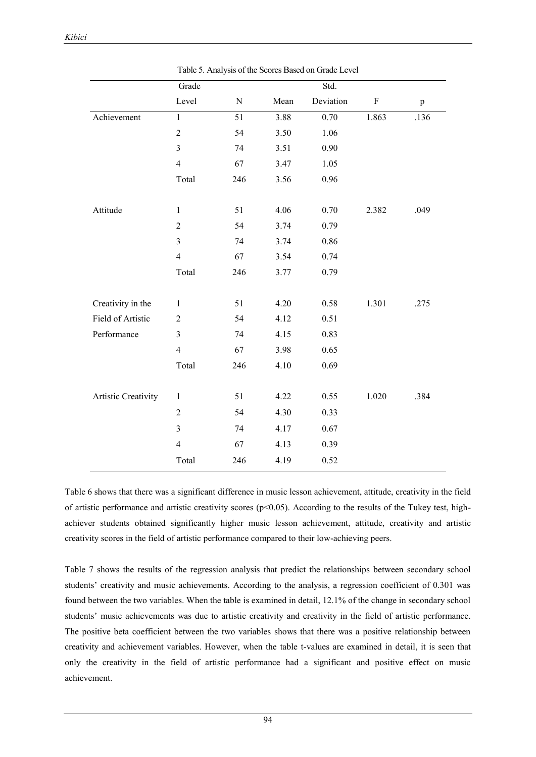|                     | Grade          |           |      | Std.      |             |              |
|---------------------|----------------|-----------|------|-----------|-------------|--------------|
|                     | Level          | ${\bf N}$ | Mean | Deviation | $\mathbf F$ | $\, {\bf p}$ |
| Achievement         | $\mathbf{1}$   | 51        | 3.88 | 0.70      | 1.863       | .136         |
|                     | $\overline{2}$ | 54        | 3.50 | 1.06      |             |              |
|                     | $\mathfrak{Z}$ | 74        | 3.51 | 0.90      |             |              |
|                     | $\overline{4}$ | 67        | 3.47 | 1.05      |             |              |
|                     | Total          | 246       | 3.56 | 0.96      |             |              |
| Attitude            | $\,1$          | 51        | 4.06 | 0.70      | 2.382       | .049         |
|                     | $\sqrt{2}$     | 54        | 3.74 | 0.79      |             |              |
|                     | $\mathfrak{Z}$ | 74        | 3.74 | 0.86      |             |              |
|                     | $\overline{4}$ | 67        | 3.54 | 0.74      |             |              |
|                     | Total          | 246       | 3.77 | 0.79      |             |              |
| Creativity in the   | $\mathbf{1}$   | 51        | 4.20 | 0.58      | 1.301       | .275         |
| Field of Artistic   | $\mathfrak 2$  | 54        | 4.12 | 0.51      |             |              |
| Performance         | $\overline{3}$ | 74        | 4.15 | 0.83      |             |              |
|                     | $\overline{4}$ | 67        | 3.98 | 0.65      |             |              |
|                     | Total          | 246       | 4.10 | 0.69      |             |              |
| Artistic Creativity | $\mathbf{1}$   | 51        | 4.22 | 0.55      | 1.020       | .384         |
|                     | $\sqrt{2}$     | 54        | 4.30 | 0.33      |             |              |
|                     | $\overline{3}$ | 74        | 4.17 | 0.67      |             |              |
|                     | $\overline{4}$ | 67        | 4.13 | 0.39      |             |              |
|                     | Total          | 246       | 4.19 | 0.52      |             |              |

Table 5. Analysis of the Scores Based on Grade Level

Table 6 shows that there was a significant difference in music lesson achievement, attitude, creativity in the field of artistic performance and artistic creativity scores ( $p$ <0.05). According to the results of the Tukey test, highachiever students obtained significantly higher music lesson achievement, attitude, creativity and artistic creativity scores in the field of artistic performance compared to their low-achieving peers.

Table 7 shows the results of the regression analysis that predict the relationships between secondary school students' creativity and music achievements. According to the analysis, a regression coefficient of 0.301 was found between the two variables. When the table is examined in detail, 12.1% of the change in secondary school students' music achievements was due to artistic creativity and creativity in the field of artistic performance. The positive beta coefficient between the two variables shows that there was a positive relationship between creativity and achievement variables. However, when the table t-values are examined in detail, it is seen that only the creativity in the field of artistic performance had a significant and positive effect on music achievement.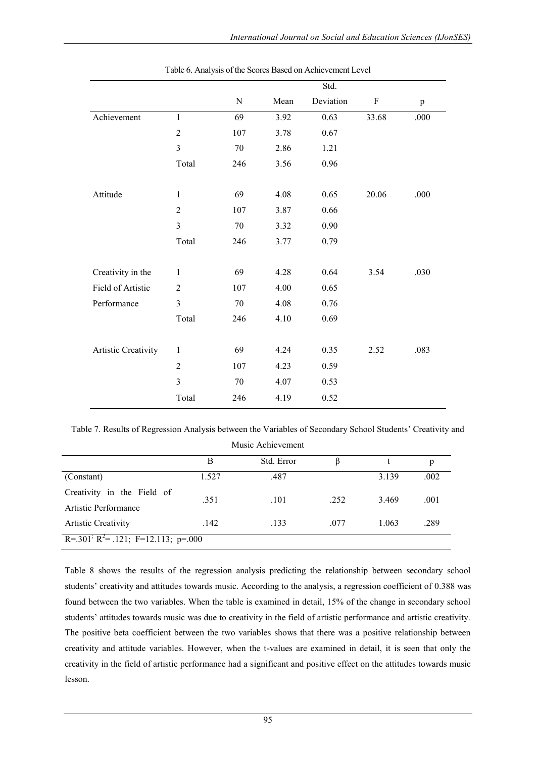|                     |                |           |      | Std.      |                           |              |
|---------------------|----------------|-----------|------|-----------|---------------------------|--------------|
|                     |                | ${\bf N}$ | Mean | Deviation | $\boldsymbol{\mathrm{F}}$ | $\, {\bf p}$ |
| Achievement         | $\mathbf{1}$   | 69        | 3.92 | 0.63      | 33.68                     | .000         |
|                     | $\overline{2}$ | 107       | 3.78 | 0.67      |                           |              |
|                     | $\overline{3}$ | 70        | 2.86 | 1.21      |                           |              |
|                     | Total          | 246       | 3.56 | 0.96      |                           |              |
|                     |                |           |      |           |                           |              |
| Attitude            | $\mathbf{1}$   | 69        | 4.08 | 0.65      | 20.06                     | .000         |
|                     | $\overline{2}$ | 107       | 3.87 | 0.66      |                           |              |
|                     | $\mathfrak{Z}$ | 70        | 3.32 | 0.90      |                           |              |
|                     | Total          | 246       | 3.77 | 0.79      |                           |              |
|                     |                |           |      |           |                           |              |
| Creativity in the   | 1              | 69        | 4.28 | 0.64      | 3.54                      | .030         |
| Field of Artistic   | $\overline{2}$ | 107       | 4.00 | 0.65      |                           |              |
| Performance         | 3              | 70        | 4.08 | 0.76      |                           |              |
|                     | Total          | 246       | 4.10 | 0.69      |                           |              |
|                     |                |           |      |           |                           |              |
| Artistic Creativity | $\mathbf{1}$   | 69        | 4.24 | 0.35      | 2.52                      | .083         |
|                     | $\overline{2}$ | 107       | 4.23 | 0.59      |                           |              |
|                     | $\overline{3}$ | 70        | 4.07 | 0.53      |                           |              |
|                     | Total          | 246       | 4.19 | 0.52      |                           |              |

Table 6. Analysis of the Scores Based on Achievement Level

Table 7. Results of Regression Analysis between the Variables of Secondary School Students' Creativity and

|                                                             |       | Music Achievement |      |       |      |  |  |
|-------------------------------------------------------------|-------|-------------------|------|-------|------|--|--|
|                                                             | B     | Std. Error        | B    |       | p    |  |  |
| (Constant)                                                  | 1.527 | .487              |      | 3.139 | .002 |  |  |
| Creativity in the Field of<br>Artistic Performance          | .351  | .101              | .252 | 3.469 | .001 |  |  |
| <b>Artistic Creativity</b>                                  | .142  | .133              | .077 | 1.063 | .289 |  |  |
| R=.301 <sup>;</sup> R <sup>2</sup> = .121; F=12.113; p=.000 |       |                   |      |       |      |  |  |

Table 8 shows the results of the regression analysis predicting the relationship between secondary school students' creativity and attitudes towards music. According to the analysis, a regression coefficient of 0.388 was found between the two variables. When the table is examined in detail, 15% of the change in secondary school students' attitudes towards music was due to creativity in the field of artistic performance and artistic creativity. The positive beta coefficient between the two variables shows that there was a positive relationship between creativity and attitude variables. However, when the t-values are examined in detail, it is seen that only the creativity in the field of artistic performance had a significant and positive effect on the attitudes towards music lesson.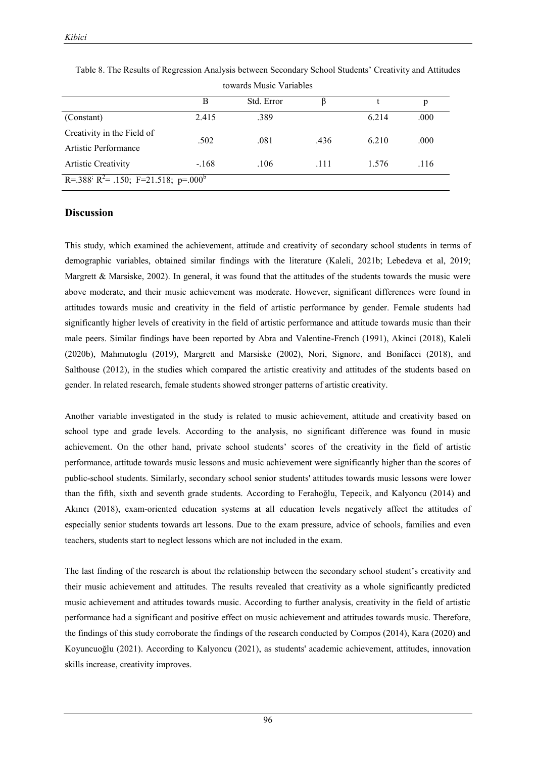|                                                             | wwards industry variables |            |      |       |      |  |  |
|-------------------------------------------------------------|---------------------------|------------|------|-------|------|--|--|
|                                                             | В                         | Std. Error |      |       | p    |  |  |
| (Constant)                                                  | 2.415                     | .389       |      | 6.214 | .000 |  |  |
| Creativity in the Field of                                  | .502                      | .081       | .436 | 6.210 | .000 |  |  |
| Artistic Performance                                        |                           |            |      |       |      |  |  |
| <b>Artistic Creativity</b>                                  | $-168$                    | .106       | .111 | 1.576 | .116 |  |  |
| R=.388 R <sup>2</sup> = .150; F=21.518; p=.000 <sup>b</sup> |                           |            |      |       |      |  |  |

Table 8. The Results of Regression Analysis between Secondary School Students' Creativity and Attitudes towards Music Variables

## **Discussion**

This study, which examined the achievement, attitude and creativity of secondary school students in terms of demographic variables, obtained similar findings with the literature (Kaleli, 2021b; Lebedeva et al, 2019; Margrett & Marsiske, 2002). In general, it was found that the attitudes of the students towards the music were above moderate, and their music achievement was moderate. However, significant differences were found in attitudes towards music and creativity in the field of artistic performance by gender. Female students had significantly higher levels of creativity in the field of artistic performance and attitude towards music than their male peers. Similar findings have been reported by Abra and Valentine-French (1991), Akinci (2018), Kaleli (2020b), Mahmutoglu (2019), Margrett and Marsiske (2002), Nori, Signore, and Bonifacci (2018), and Salthouse (2012), in the studies which compared the artistic creativity and attitudes of the students based on gender. In related research, female students showed stronger patterns of artistic creativity.

Another variable investigated in the study is related to music achievement, attitude and creativity based on school type and grade levels. According to the analysis, no significant difference was found in music achievement. On the other hand, private school students' scores of the creativity in the field of artistic performance, attitude towards music lessons and music achievement were significantly higher than the scores of public-school students. Similarly, secondary school senior students' attitudes towards music lessons were lower than the fifth, sixth and seventh grade students. According to Ferahoğlu, Tepecik, and Kalyoncu (2014) and Akıncı (2018), exam-oriented education systems at all education levels negatively affect the attitudes of especially senior students towards art lessons. Due to the exam pressure, advice of schools, families and even teachers, students start to neglect lessons which are not included in the exam.

The last finding of the research is about the relationship between the secondary school student's creativity and their music achievement and attitudes. The results revealed that creativity as a whole significantly predicted music achievement and attitudes towards music. According to further analysis, creativity in the field of artistic performance had a significant and positive effect on music achievement and attitudes towards music. Therefore, the findings of this study corroborate the findings of the research conducted by Compos (2014), Kara (2020) and Koyuncuoğlu (2021). According to Kalyoncu (2021), as students' academic achievement, attitudes, innovation skills increase, creativity improves.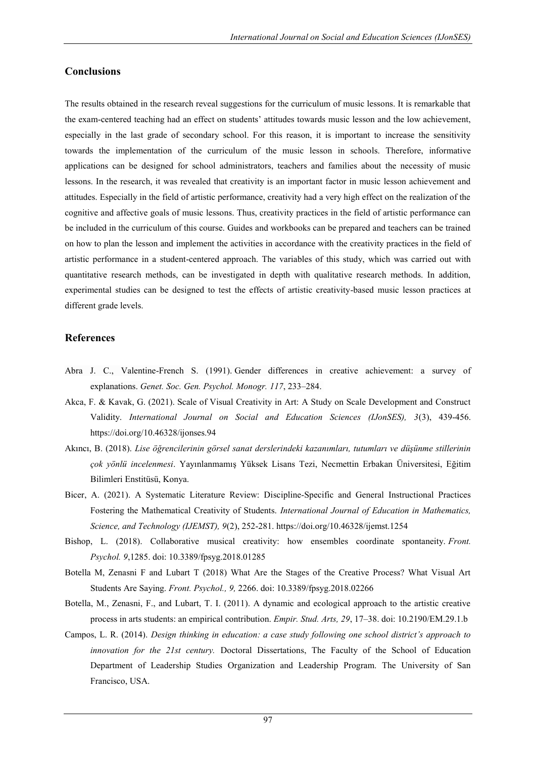## **Conclusions**

The results obtained in the research reveal suggestions for the curriculum of music lessons. It is remarkable that the exam-centered teaching had an effect on students' attitudes towards music lesson and the low achievement, especially in the last grade of secondary school. For this reason, it is important to increase the sensitivity towards the implementation of the curriculum of the music lesson in schools. Therefore, informative applications can be designed for school administrators, teachers and families about the necessity of music lessons. In the research, it was revealed that creativity is an important factor in music lesson achievement and attitudes. Especially in the field of artistic performance, creativity had a very high effect on the realization of the cognitive and affective goals of music lessons. Thus, creativity practices in the field of artistic performance can be included in the curriculum of this course. Guides and workbooks can be prepared and teachers can be trained on how to plan the lesson and implement the activities in accordance with the creativity practices in the field of artistic performance in a student-centered approach. The variables of this study, which was carried out with quantitative research methods, can be investigated in depth with qualitative research methods. In addition, experimental studies can be designed to test the effects of artistic creativity-based music lesson practices at different grade levels.

## **References**

- Abra J. C., Valentine-French S. (1991). Gender differences in creative achievement: a survey of explanations. *Genet. Soc. Gen. Psychol. Monogr. 117*, 233–284.
- Akca, F. & Kavak, G. (2021). Scale of Visual Creativity in Art: A Study on Scale Development and Construct Validity. *International Journal on Social and Education Sciences (IJonSES), 3*(3), 439-456. https://doi.org/10.46328/ijonses.94
- Akıncı, B. (2018). *Lise öğrencilerinin görsel sanat derslerindeki kazanımları, tutumları ve düşünme stillerinin çok yönlü incelenmesi*. Yayınlanmamış Yüksek Lisans Tezi, Necmettin Erbakan Üniversitesi, Eğitim Bilimleri Enstitüsü, Konya.
- Bicer, A. (2021). A Systematic Literature Review: Discipline-Specific and General Instructional Practices Fostering the Mathematical Creativity of Students. *International Journal of Education in Mathematics, Science, and Technology (IJEMST), 9*(2), 252-281. https://doi.org/10.46328/ijemst.1254
- Bishop, L. (2018). Collaborative musical creativity: how ensembles coordinate spontaneity. *Front. Psychol. 9*,1285. doi: 10.3389/fpsyg.2018.01285
- Botella M, Zenasni F and Lubart T (2018) What Are the Stages of the Creative Process? What Visual Art Students Are Saying. *Front. Psychol., 9,* 2266. doi: 10.3389/fpsyg.2018.02266
- Botella, M., Zenasni, F., and Lubart, T. I. (2011). A dynamic and ecological approach to the artistic creative process in arts students: an empirical contribution. *Empir. Stud. Arts, 29*, 17–38. doi: 10.2190/EM.29.1.b
- Campos, L. R. (2014). *Design thinking in education: a case study following one school district's approach to innovation for the 21st century.* Doctoral Dissertations, The Faculty of the School of Education Department of Leadership Studies Organization and Leadership Program. The University of San Francisco, USA.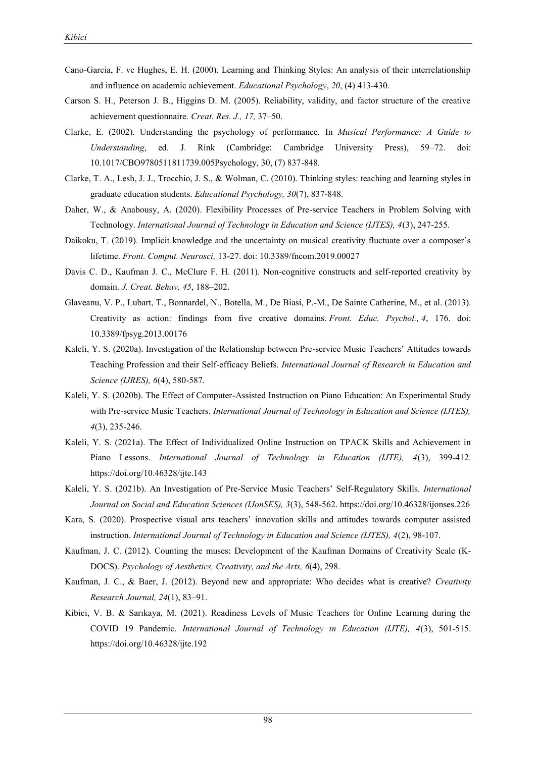- Cano-Garcia, F. ve Hughes, E. H. (2000). Learning and Thinking Styles: An analysis of their interrelationship and influence on academic achievement. *Educational Psychology*, *20*, (4) 413-430.
- Carson S. H., Peterson J. B., Higgins D. M. (2005). Reliability, validity, and factor structure of the creative achievement questionnaire. *Creat. Res. J., 17,* 37–50.
- Clarke, E. (2002). Understanding the psychology of performance. In *Musical Performance: A Guide to Understanding*, ed. J. Rink (Cambridge: Cambridge University Press), 59–72. doi: 10.1017/CBO9780511811739.005Psychology, 30, (7) 837-848.
- Clarke, T. A., Lesh, J. J., Trocchio, J. S., & Wolman, C. (2010). Thinking styles: teaching and learning styles in graduate education students. *Educational Psychology, 30*(7), 837-848.
- Daher, W., & Anabousy, A. (2020). Flexibility Processes of Pre-service Teachers in Problem Solving with Technology. *International Journal of Technology in Education and Science (IJTES), 4*(3), 247-255.
- Daikoku, T. (2019). Implicit knowledge and the uncertainty on musical creativity fluctuate over a composer's lifetime. *Front. Comput. Neurosci,* 13-27. doi: 10.3389/fncom.2019.00027
- Davis C. D., Kaufman J. C., McClure F. H. (2011). Non-cognitive constructs and self-reported creativity by domain. *J. Creat. Behav, 45*, 188–202.
- Glaveanu, V. P., Lubart, T., Bonnardel, N., Botella, M., De Biasi, P.-M., De Sainte Catherine, M., et al. (2013). Creativity as action: findings from five creative domains. *Front. Educ. Psychol., 4*, 176. doi: 10.3389/fpsyg.2013.00176
- Kaleli, Y. S. (2020a). Investigation of the Relationship between Pre-service Music Teachers' Attitudes towards Teaching Profession and their Self-efficacy Beliefs. *International Journal of Research in Education and Science (IJRES), 6*(4), 580-587.
- Kaleli, Y. S. (2020b). The Effect of Computer-Assisted Instruction on Piano Education: An Experimental Study with Pre-service Music Teachers. *International Journal of Technology in Education and Science (IJTES)*, *4*(3), 235-246.
- Kaleli, Y. S. (2021a). The Effect of Individualized Online Instruction on TPACK Skills and Achievement in Piano Lessons. *International Journal of Technology in Education (IJTE), 4*(3), 399-412. https://doi.org/10.46328/ijte.143
- Kaleli, Y. S. (2021b). An Investigation of Pre-Service Music Teachers' Self-Regulatory Skills. *International Journal on Social and Education Sciences (IJonSES), 3*(3), 548-562. https://doi.org/10.46328/ijonses.226
- Kara, S. (2020). Prospective visual arts teachers' innovation skills and attitudes towards computer assisted instruction. *International Journal of Technology in Education and Science (IJTES), 4*(2), 98-107.
- Kaufman, J. C. (2012). Counting the muses: Development of the Kaufman Domains of Creativity Scale (K-DOCS). *Psychology of Aesthetics, Creativity, and the Arts, 6*(4), 298.
- Kaufman, J. C., & Baer, J. (2012). Beyond new and appropriate: Who decides what is creative? *Creativity Research Journal, 24*(1), 83–91.
- Kibici, V. B. & Sarıkaya, M. (2021). Readiness Levels of Music Teachers for Online Learning during the COVID 19 Pandemic. *International Journal of Technology in Education (IJTE), 4*(3), 501-515. https://doi.org/10.46328/ijte.192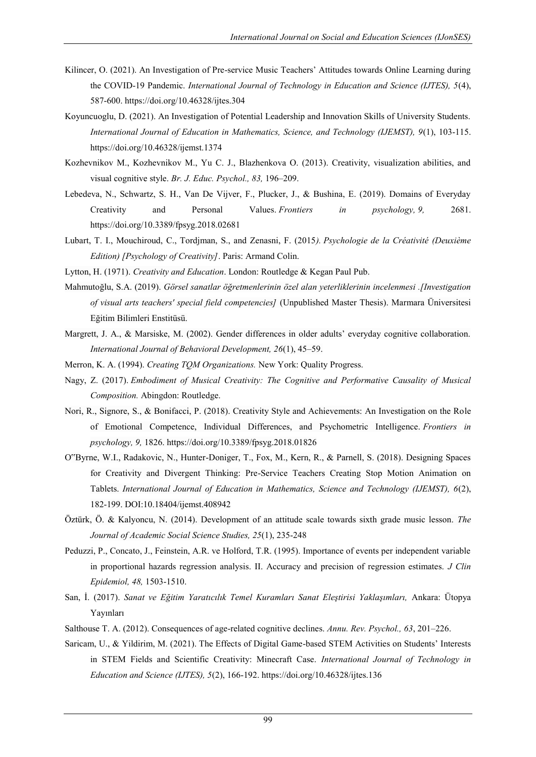- Kilincer, O. (2021). An Investigation of Pre-service Music Teachers' Attitudes towards Online Learning during the COVID-19 Pandemic. *International Journal of Technology in Education and Science (IJTES), 5*(4), 587-600. https://doi.org/10.46328/ijtes.304
- Koyuncuoglu, D. (2021). An Investigation of Potential Leadership and Innovation Skills of University Students. *International Journal of Education in Mathematics, Science, and Technology (IJEMST), 9*(1), 103-115. https://doi.org/10.46328/ijemst.1374
- Kozhevnikov M., Kozhevnikov M., Yu C. J., Blazhenkova O. (2013). Creativity, visualization abilities, and visual cognitive style. *Br. J. Educ. Psychol., 83,* 196–209.
- Lebedeva, N., Schwartz, S. H., Van De Vijver, F., Plucker, J., & Bushina, E. (2019). Domains of Everyday Creativity and Personal Values. *Frontiers in psychology, 9,* 2681. <https://doi.org/10.3389/fpsyg.2018.02681>
- Lubart, T. I., Mouchiroud, C., Tordjman, S., and Zenasni, F. (2015*). Psychologie de la Créativité (Deuxième Edition) [Psychology of Creativity]*. Paris: Armand Colin.
- Lytton, H. (1971). *Creativity and Education*. London: Routledge & Kegan Paul Pub.
- Mahmutoğlu, S.A. (2019). *Görsel sanatlar öğretmenlerinin özel alan yeterliklerinin incelenmesi .[Investigation of visual arts teachers' special field competencies]* (Unpublished Master Thesis). Marmara Üniversitesi Eğitim Bilimleri Enstitüsü.
- Margrett, J. A., & Marsiske, M. (2002). Gender differences in older adults' everyday cognitive collaboration. *International Journal of Behavioral Development, 26*(1), 45–59.
- Merron, K. A. (1994). *Creating TQM Organizations.* New York: Quality Progress.
- Nagy, Z. (2017). *Embodiment of Musical Creativity: The Cognitive and Performative Causality of Musical Composition.* Abingdon: Routledge.
- Nori, R., Signore, S., & Bonifacci, P. (2018). Creativity Style and Achievements: An Investigation on the Role of Emotional Competence, Individual Differences, and Psychometric Intelligence. *Frontiers in psychology, 9,* 1826.<https://doi.org/10.3389/fpsyg.2018.01826>
- O"Byrne, W.I., Radakovic, N., Hunter-Doniger, T., Fox, M., Kern, R., & Parnell, S. (2018). Designing Spaces for Creativity and Divergent Thinking: Pre-Service Teachers Creating Stop Motion Animation on Tablets. *International Journal of Education in Mathematics, Science and Technology (IJEMST), 6*(2), 182-199. DOI:10.18404/ijemst.408942
- Öztürk, Ö. & Kalyoncu, N. (2014). Development of an attitude scale towards sixth grade music lesson. *The Journal of Academic Social Science Studies, 25*(1), 235-248
- Peduzzi, P., Concato, J., Feinstein, A.R. ve Holford, T.R. (1995). Importance of events per independent variable in proportional hazards regression analysis. II. Accuracy and precision of regression estimates. *J Clin Epidemiol, 48,* 1503-1510.
- San, İ. (2017). *Sanat ve Eğitim Yaratıcılık Temel Kuramları Sanat Eleştirisi Yaklaşımları,* Ankara: Ütopya Yayınları
- Salthouse T. A. (2012). Consequences of age-related cognitive declines. *Annu. Rev. Psychol., 63*, 201–226.
- Saricam, U., & Yildirim, M. (2021). The Effects of Digital Game-based STEM Activities on Students' Interests in STEM Fields and Scientific Creativity: Minecraft Case. *International Journal of Technology in Education and Science (IJTES), 5*(2), 166-192. https://doi.org/10.46328/ijtes.136